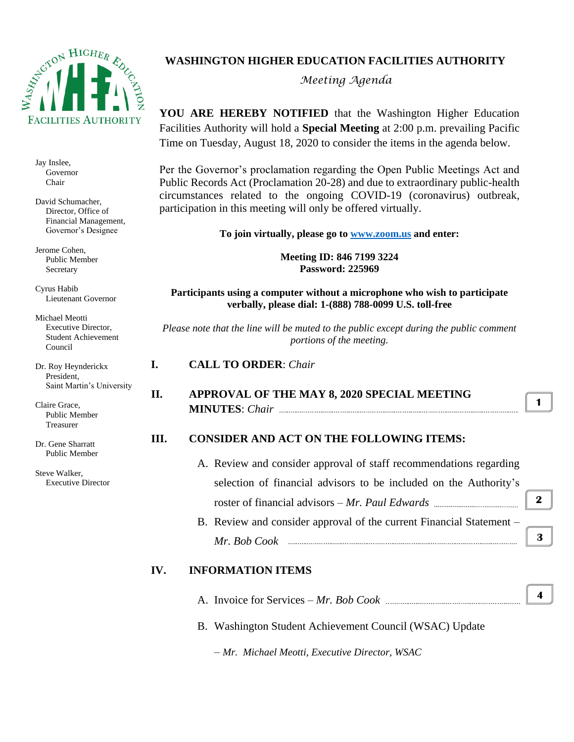

Jay Inslee, Governor Chair

David Schumacher, Director, Office of Financial Management, Governor's Designee

Jerome Cohen, Public Member Secretary

Cyrus Habib Lieutenant Governor

Michael Meotti Executive Director, Student Achievement Council

Dr. Roy Heynderickx President, Saint Martin's University

Claire Grace, Public Member Treasurer

Dr. Gene Sharratt Public Member

Steve Walker, Executive Director

# **WASHINGTON HIGHER EDUCATION FACILITIES AUTHORITY**

*Meeting Agenda*

**YOU ARE HEREBY NOTIFIED** that the Washington Higher Education Facilities Authority will hold a **Special Meeting** at 2:00 p.m. prevailing Pacific Time on Tuesday, August 18, 2020 to consider the items in the agenda below.

Per the Governor's proclamation regarding the Open Public Meetings Act and Public Records Act (Proclamation 20-28) and due to extraordinary public-health circumstances related to the ongoing COVID-19 (coronavirus) outbreak, participation in this meeting will only be offered virtually.

**To join virtually, please go to [www.zoom.us](http://www.zoom.us/) and enter:**

**Meeting ID: 846 7199 3224 Password: 225969**

**Participants using a computer without a microphone who wish to participate verbally, please dial: 1-(888) 788-0099 U.S. toll-free**

*Please note that the line will be muted to the public except during the public comment portions of the meeting.*

#### **I. CALL TO ORDER**: *Chair*

## **II. APPROVAL OF THE MAY 8, 2020 SPECIAL MEETING MINUTES**: *Chair*

**1**

### **III. CONSIDER AND ACT ON THE FOLLOWING ITEMS:**

- A. Review and consider approval of staff recommendations regarding selection of financial advisors to be included on the Authority's roster of financial advisors – *Mr. Paul Edwards*
- B. Review and consider approval of the current Financial Statement *Mr. Bob Cook*

#### **IV. INFORMATION ITEMS**

- A. Invoice for Services *Mr. Bob Cook*
- B. Washington Student Achievement Council (WSAC) Update

*– Mr. Michael Meotti, Executive Director, WSAC*

**4**

**3**

**2**